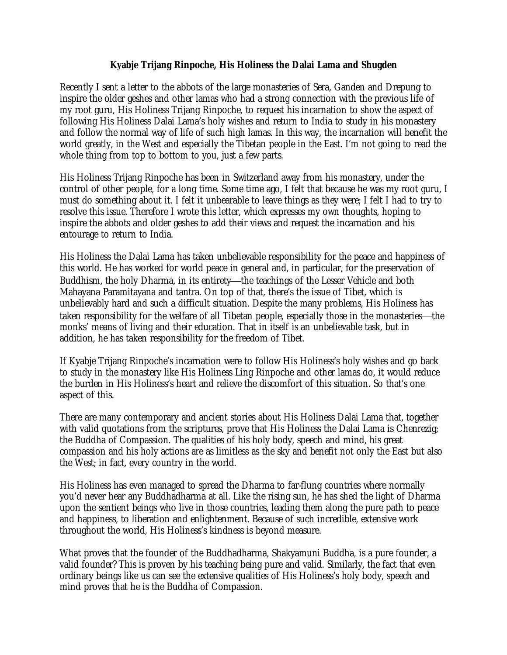## **Kyabje Trijang Rinpoche, His Holiness the Dalai Lama and Shugden**

Recently I sent a letter to the abbots of the large monasteries of Sera, Ganden and Drepung to inspire the older geshes and other lamas who had a strong connection with the previous life of my root guru, His Holiness Trijang Rinpoche, to request his incarnation to show the aspect of following His Holiness Dalai Lama's holy wishes and return to India to study in his monastery and follow the normal way of life of such high lamas. In this way, the incarnation will benefit the world greatly, in the West and especially the Tibetan people in the East. I'm not going to read the whole thing from top to bottom to you, just a few parts.

His Holiness Trijang Rinpoche has been in Switzerland away from his monastery, under the control of other people, for a long time. Some time ago, I felt that because he was my root guru, I must do something about it. I felt it unbearable to leave things as they were; I felt I had to try to resolve this issue. Therefore I wrote this letter, which expresses my own thoughts, hoping to inspire the abbots and older geshes to add their views and request the incarnation and his entourage to return to India.

His Holiness the Dalai Lama has taken unbelievable responsibility for the peace and happiness of this world. He has worked for world peace in general and, in particular, for the preservation of Buddhism, the holy Dharma, in its entirety—the teachings of the Lesser Vehicle and both Mahayana Paramitayana and tantra. On top of that, there's the issue of Tibet, which is unbelievably hard and such a difficult situation. Despite the many problems, His Holiness has taken responsibility for the welfare of all Tibetan people, especially those in the monasteries—the monks' means of living and their education. That in itself is an unbelievable task, but in addition, he has taken responsibility for the freedom of Tibet.

If Kyabje Trijang Rinpoche's incarnation were to follow His Holiness's holy wishes and go back to study in the monastery like His Holiness Ling Rinpoche and other lamas do, it would reduce the burden in His Holiness's heart and relieve the discomfort of this situation. So that's one aspect of this.

There are many contemporary and ancient stories about His Holiness Dalai Lama that, together with valid quotations from the scriptures, prove that His Holiness the Dalai Lama is Chenrezig; the Buddha of Compassion. The qualities of his holy body, speech and mind, his great compassion and his holy actions are as limitless as the sky and benefit not only the East but also the West; in fact, every country in the world.

His Holiness has even managed to spread the Dharma to far-flung countries where normally you'd never hear any Buddhadharma at all. Like the rising sun, he has shed the light of Dharma upon the sentient beings who live in those countries, leading them along the pure path to peace and happiness, to liberation and enlightenment. Because of such incredible, extensive work throughout the world, His Holiness's kindness is beyond measure.

What proves that the founder of the Buddhadharma, Shakyamuni Buddha, is a pure founder, a valid founder? This is proven by his teaching being pure and valid. Similarly, the fact that even ordinary beings like us can see the extensive qualities of His Holiness's holy body, speech and mind proves that he is the Buddha of Compassion.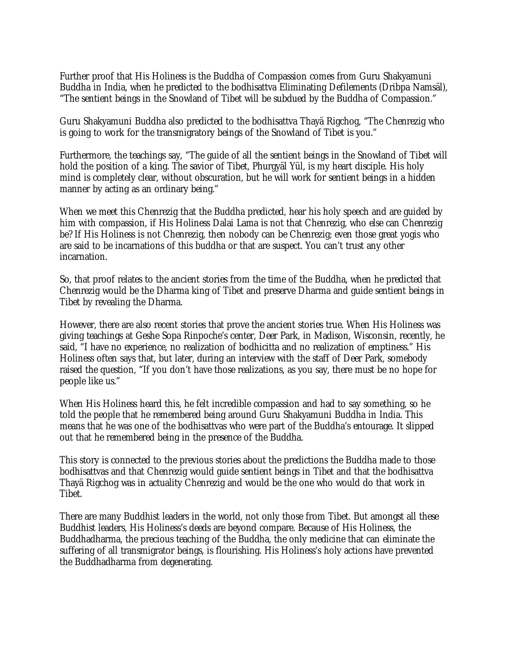Further proof that His Holiness is the Buddha of Compassion comes from Guru Shakyamuni Buddha in India, when he predicted to the bodhisattva Eliminating Defilements (Dribpa Namsäl), "The sentient beings in the Snowland of Tibet will be subdued by the Buddha of Compassion."

Guru Shakyamuni Buddha also predicted to the bodhisattva Thayä Rigchog, "The Chenrezig who is going to work for the transmigratory beings of the Snowland of Tibet is you."

Furthermore, the teachings say, "The guide of all the sentient beings in the Snowland of Tibet will hold the position of a king. The savior of Tibet, Phurgyäl Yül, is my heart disciple. His holy mind is completely clear, without obscuration, but he will work for sentient beings in a hidden manner by acting as an ordinary being."

When we meet this Chenrezig that the Buddha predicted, hear his holy speech and are guided by him with compassion, if His Holiness Dalai Lama is not that Chenrezig, who else can Chenrezig be? If His Holiness is not Chenrezig, then nobody can be Chenrezig; even those great yogis who are said to be incarnations of this buddha or that are suspect. You can't trust any other incarnation.

So, that proof relates to the ancient stories from the time of the Buddha, when he predicted that Chenrezig would be the Dharma king of Tibet and preserve Dharma and guide sentient beings in Tibet by revealing the Dharma.

However, there are also recent stories that prove the ancient stories true. When His Holiness was giving teachings at Geshe Sopa Rinpoche's center, Deer Park, in Madison, Wisconsin, recently, he said, "I have no experience, no realization of bodhicitta and no realization of emptiness." His Holiness often says that, but later, during an interview with the staff of Deer Park, somebody raised the question, "If you don't have those realizations, as you say, there must be no hope for people like us."

When His Holiness heard this, he felt incredible compassion and had to say something, so he told the people that he remembered being around Guru Shakyamuni Buddha in India. This means that he was one of the bodhisattvas who were part of the Buddha's entourage. It slipped out that he remembered being in the presence of the Buddha.

This story is connected to the previous stories about the predictions the Buddha made to those bodhisattvas and that Chenrezig would guide sentient beings in Tibet and that the bodhisattva Thayä Rigchog was in actuality Chenrezig and would be the one who would do that work in Tibet.

There are many Buddhist leaders in the world, not only those from Tibet. But amongst all these Buddhist leaders, His Holiness's deeds are beyond compare. Because of His Holiness, the Buddhadharma, the precious teaching of the Buddha, the only medicine that can eliminate the suffering of all transmigrator beings, is flourishing. His Holiness's holy actions have prevented the Buddhadharma from degenerating.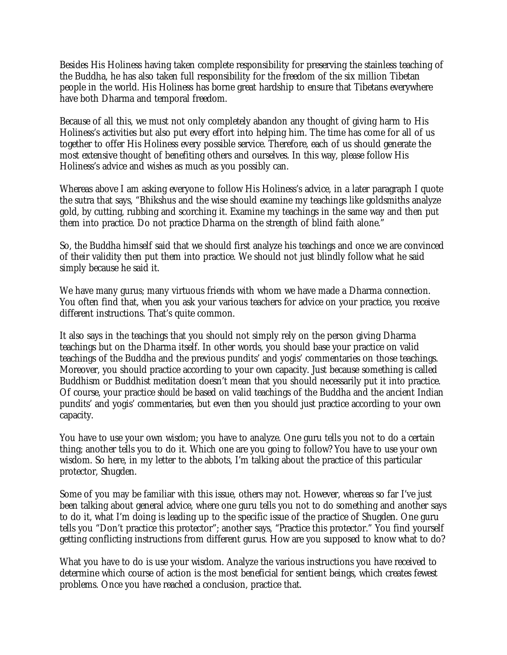Besides His Holiness having taken complete responsibility for preserving the stainless teaching of the Buddha, he has also taken full responsibility for the freedom of the six million Tibetan people in the world. His Holiness has borne great hardship to ensure that Tibetans everywhere have both Dharma and temporal freedom.

Because of all this, we must not only completely abandon any thought of giving harm to His Holiness's activities but also put every effort into helping him. The time has come for all of us together to offer His Holiness every possible service. Therefore, each of us should generate the most extensive thought of benefiting others and ourselves. In this way, please follow His Holiness's advice and wishes as much as you possibly can.

Whereas above I am asking everyone to follow His Holiness's advice, in a later paragraph I quote the sutra that says, "Bhikshus and the wise should examine my teachings like goldsmiths analyze gold, by cutting, rubbing and scorching it. Examine my teachings in the same way and then put them into practice. Do not practice Dharma on the strength of blind faith alone."

So, the Buddha himself said that we should first analyze his teachings and once we are convinced of their validity then put them into practice. We should not just blindly follow what he said simply because he said it.

We have many gurus; many virtuous friends with whom we have made a Dharma connection. You often find that, when you ask your various teachers for advice on your practice, you receive different instructions. That's quite common.

It also says in the teachings that you should not simply rely on the person giving Dharma teachings but on the Dharma itself. In other words, you should base your practice on valid teachings of the Buddha and the previous pundits' and yogis' commentaries on those teachings. Moreover, you should practice according to your own capacity. Just because something is called Buddhism or Buddhist meditation doesn't mean that you should necessarily put it into practice. Of course, your practice *should* be based on valid teachings of the Buddha and the ancient Indian pundits' and yogis' commentaries, but even then you should just practice according to your own capacity.

You have to use your own wisdom; you have to analyze. One guru tells you not to do a certain thing; another tells you to do it. Which one are you going to follow? You have to use your own wisdom. So here, in my letter to the abbots, I'm talking about the practice of this particular protector, Shugden.

Some of you may be familiar with this issue, others may not. However, whereas so far I've just been talking about general advice, where one guru tells you not to do something and another says to do it, what I'm doing is leading up to the specific issue of the practice of Shugden. One guru tells you "Don't practice this protector"; another says, "Practice this protector." You find yourself getting conflicting instructions from different gurus. How are you supposed to know what to do?

What you have to do is use your wisdom. Analyze the various instructions you have received to determine which course of action is the most beneficial for sentient beings, which creates fewest problems. Once you have reached a conclusion, practice that.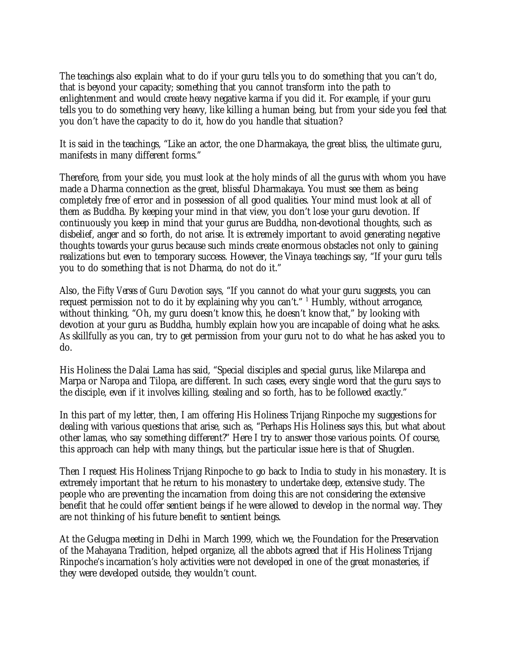The teachings also explain what to do if your guru tells you to do something that you can't do, that is beyond your capacity; something that you cannot transform into the path to enlightenment and would create heavy negative karma if you did it. For example, if your guru tells you to do something very heavy, like killing a human being, but from your side you feel that you don't have the capacity to do it, how do you handle that situation?

It is said in the teachings, "Like an actor, the one Dharmakaya, the great bliss, the ultimate guru, manifests in many different forms."

Therefore, from your side, you must look at the holy minds of all the gurus with whom you have made a Dharma connection as the great, blissful Dharmakaya. You must see them as being completely free of error and in possession of all good qualities. Your mind must look at all of them as Buddha. By keeping your mind in that view, you don't lose your guru devotion. If continuously you keep in mind that your gurus are Buddha, non-devotional thoughts, such as disbelief, anger and so forth, do not arise. It is extremely important to avoid generating negative thoughts towards your gurus because such minds create enormous obstacles not only to gaining realizations but even to temporary success. However, the Vinaya teachings say, "If your guru tells you to do something that is not Dharma, do not do it."

Also, the *Fifty Verses of Guru Devotion* says, "If you cannot do what your guru suggests, you can request permission not to do it by explaining why you can't." <sup>1</sup> Humbly, without arrogance, without thinking, "Oh, my guru doesn't know this, he doesn't know that," by looking with devotion at your guru as Buddha, humbly explain how you are incapable of doing what he asks. As skillfully as you can, try to get permission from your guru not to do what he has asked you to do.

His Holiness the Dalai Lama has said, "Special disciples and special gurus, like Milarepa and Marpa or Naropa and Tilopa, are different. In such cases, every single word that the guru says to the disciple, even if it involves killing, stealing and so forth, has to be followed exactly."

In this part of my letter, then, I am offering His Holiness Trijang Rinpoche my suggestions for dealing with various questions that arise, such as, "Perhaps His Holiness says this, but what about other lamas, who say something different?" Here I try to answer those various points. Of course, this approach can help with many things, but the particular issue here is that of Shugden.

Then I request His Holiness Trijang Rinpoche to go back to India to study in his monastery. It is extremely important that he return to his monastery to undertake deep, extensive study. The people who are preventing the incarnation from doing this are not considering the extensive benefit that he could offer sentient beings if he were allowed to develop in the normal way. They are not thinking of his future benefit to sentient beings.

At the Gelugpa meeting in Delhi in March 1999, which we, the Foundation for the Preservation of the Mahayana Tradition, helped organize, all the abbots agreed that if His Holiness Trijang Rinpoche's incarnation's holy activities were not developed in one of the great monasteries, if they were developed outside, they wouldn't count.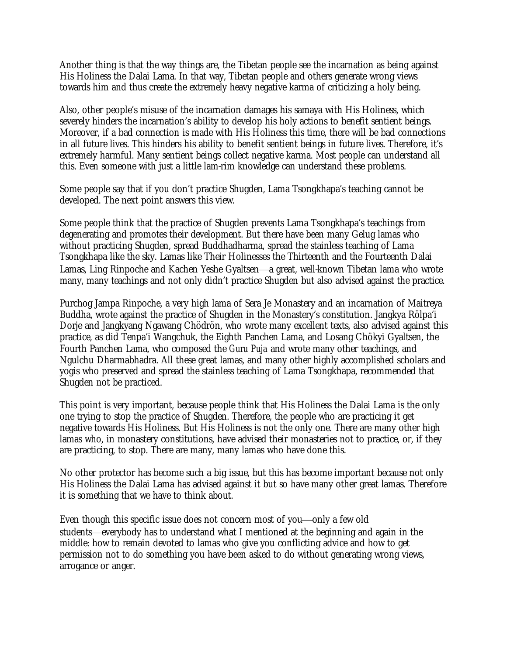Another thing is that the way things are, the Tibetan people see the incarnation as being against His Holiness the Dalai Lama. In that way, Tibetan people and others generate wrong views towards him and thus create the extremely heavy negative karma of criticizing a holy being.

Also, other people's misuse of the incarnation damages his samaya with His Holiness, which severely hinders the incarnation's ability to develop his holy actions to benefit sentient beings. Moreover, if a bad connection is made with His Holiness this time, there will be bad connections in all future lives. This hinders his ability to benefit sentient beings in future lives. Therefore, it's extremely harmful. Many sentient beings collect negative karma. Most people can understand all this. Even someone with just a little lam-rim knowledge can understand these problems.

Some people say that if you don't practice Shugden, Lama Tsongkhapa's teaching cannot be developed. The next point answers this view.

Some people think that the practice of Shugden prevents Lama Tsongkhapa's teachings from degenerating and promotes their development. But there have been many Gelug lamas who without practicing Shugden, spread Buddhadharma, spread the stainless teaching of Lama Tsongkhapa like the sky. Lamas like Their Holinesses the Thirteenth and the Fourteenth Dalai Lamas, Ling Rinpoche and Kachen Yeshe Gyaltsen—a great, well-known Tibetan lama who wrote many, many teachings and not only didn't practice Shugden but also advised against the practice.

Purchog Jampa Rinpoche, a very high lama of Sera Je Monastery and an incarnation of Maitreya Buddha, wrote against the practice of Shugden in the Monastery's constitution. Jangkya Rölpa'i Dorje and Jangkyang Ngawang Chödrön, who wrote many excellent texts, also advised against this practice, as did Tenpa'i Wangchuk, the Eighth Panchen Lama, and Losang Chökyi Gyaltsen, the Fourth Panchen Lama, who composed the *Guru Puja* and wrote many other teachings, and Ngulchu Dharmabhadra. All these great lamas, and many other highly accomplished scholars and yogis who preserved and spread the stainless teaching of Lama Tsongkhapa, recommended that Shugden not be practiced.

This point is very important, because people think that His Holiness the Dalai Lama is the only one trying to stop the practice of Shugden. Therefore, the people who are practicing it get negative towards His Holiness. But His Holiness is not the only one. There are many other high lamas who, in monastery constitutions, have advised their monasteries not to practice, or, if they are practicing, to stop. There are many, many lamas who have done this.

No other protector has become such a big issue, but this has become important because not only His Holiness the Dalai Lama has advised against it but so have many other great lamas. Therefore it is something that we have to think about.

Even though this specific issue does not concern most of you—only a few old students—everybody has to understand what I mentioned at the beginning and again in the middle: how to remain devoted to lamas who give you conflicting advice and how to get permission not to do something you have been asked to do without generating wrong views, arrogance or anger.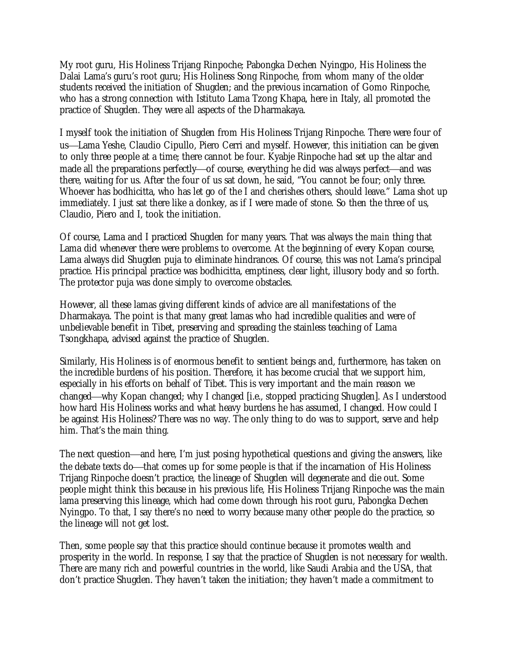My root guru, His Holiness Trijang Rinpoche; Pabongka Dechen Nyingpo, His Holiness the Dalai Lama's guru's root guru; His Holiness Song Rinpoche, from whom many of the older students received the initiation of Shugden; and the previous incarnation of Gomo Rinpoche, who has a strong connection with Istituto Lama Tzong Khapa, here in Italy, all promoted the practice of Shugden. They were all aspects of the Dharmakaya.

I myself took the initiation of Shugden from His Holiness Trijang Rinpoche. There were four of us—Lama Yeshe, Claudio Cipullo, Piero Cerri and myself. However, this initiation can be given to only three people at a time; there cannot be four. Kyabje Rinpoche had set up the altar and made all the preparations perfectly-of course, everything he did was always perfect-and was there, waiting for us. After the four of us sat down, he said, "You cannot be four; only three. Whoever has bodhicitta, who has let go of the I and cherishes others, should leave." Lama shot up immediately. I just sat there like a donkey, as if I were made of stone. So then the three of us, Claudio, Piero and I, took the initiation.

Of course, Lama and I practiced Shugden for many years. That was always the *main* thing that Lama did whenever there were problems to overcome. At the beginning of every Kopan course, Lama always did Shugden puja to eliminate hindrances. Of course, this was not Lama's principal practice. His principal practice was bodhicitta, emptiness, clear light, illusory body and so forth. The protector puja was done simply to overcome obstacles.

However, all these lamas giving different kinds of advice are all manifestations of the Dharmakaya. The point is that many great lamas who had incredible qualities and were of unbelievable benefit in Tibet, preserving and spreading the stainless teaching of Lama Tsongkhapa, advised against the practice of Shugden.

Similarly, His Holiness is of enormous benefit to sentient beings and, furthermore, has taken on the incredible burdens of his position. Therefore, it has become crucial that we support him, especially in his efforts on behalf of Tibet. This is very important and the main reason we changed—why Kopan changed; why I changed *[i.e., stopped practicing Shugden]*. As I understood how hard His Holiness works and what heavy burdens he has assumed, I changed. How could I be against His Holiness? There was no way. The only thing to do was to support, serve and help him. That's the main thing.

The next question—and here, I'm just posing hypothetical questions and giving the answers, like the debate texts do—that comes up for some people is that if the incarnation of His Holiness Trijang Rinpoche doesn't practice, the lineage of Shugden will degenerate and die out. Some people might think this because in his previous life, His Holiness Trijang Rinpoche was the main lama preserving this lineage, which had come down through his root guru, Pabongka Dechen Nyingpo. To that, I say there's no need to worry because many other people do the practice, so the lineage will not get lost.

Then, some people say that this practice should continue because it promotes wealth and prosperity in the world. In response, I say that the practice of Shugden is not necessary for wealth. There are many rich and powerful countries in the world, like Saudi Arabia and the USA, that don't practice Shugden. They haven't taken the initiation; they haven't made a commitment to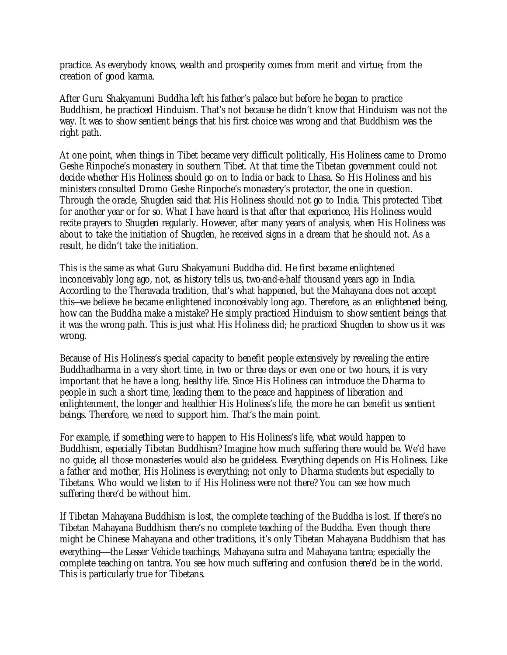practice. As everybody knows, wealth and prosperity comes from merit and virtue; from the creation of good karma.

After Guru Shakyamuni Buddha left his father's palace but before he began to practice Buddhism, he practiced Hinduism. That's not because he didn't know that Hinduism was not the way. It was to show sentient beings that his first choice was wrong and that Buddhism was the right path.

At one point, when things in Tibet became very difficult politically, His Holiness came to Dromo Geshe Rinpoche's monastery in southern Tibet. At that time the Tibetan government could not decide whether His Holiness should go on to India or back to Lhasa. So His Holiness and his ministers consulted Dromo Geshe Rinpoche's monastery's protector, the one in question. Through the oracle, Shugden said that His Holiness should not go to India. This protected Tibet for another year or for so. What I have heard is that after that experience, His Holiness would recite prayers to Shugden regularly. However, after many years of analysis, when His Holiness was about to take the initiation of Shugden, he received signs in a dream that he should not. As a result, he didn't take the initiation.

This is the same as what Guru Shakyamuni Buddha did. He first became enlightened inconceivably long ago, not, as history tells us, two-and-a-half thousand years ago in India. According to the Theravada tradition, that's what happened, but the Mahayana does not accept this—we believe he became enlightened inconceivably long ago. Therefore, as an enlightened being, how can the Buddha make a mistake? He simply practiced Hinduism to show sentient beings that it was the wrong path. This is just what His Holiness did; he practiced Shugden to show us it was wrong.

Because of His Holiness's special capacity to benefit people extensively by revealing the entire Buddhadharma in a very short time, in two or three days or even one or two hours, it is very important that he have a long, healthy life. Since His Holiness can introduce the Dharma to people in such a short time, leading them to the peace and happiness of liberation and enlightenment, the longer and healthier His Holiness's life, the more he can benefit us sentient beings. Therefore, we need to support him. That's the main point.

For example, if something were to happen to His Holiness's life, what would happen to Buddhism, especially Tibetan Buddhism? Imagine how much suffering there would be. We'd have no guide; all those monasteries would also be guideless. Everything depends on His Holiness. Like a father and mother, His Holiness is everything; not only to Dharma students but especially to Tibetans. Who would we listen to if His Holiness were not there? You can see how much suffering there'd be without him.

If Tibetan Mahayana Buddhism is lost, the complete teaching of the Buddha is lost. If there's no Tibetan Mahayana Buddhism there's no complete teaching of the Buddha. Even though there might be Chinese Mahayana and other traditions, it's only Tibetan Mahayana Buddhism that has everything—the Lesser Vehicle teachings, Mahayana sutra and Mahayana tantra; especially the complete teaching on tantra. You see how much suffering and confusion there'd be in the world. This is particularly true for Tibetans.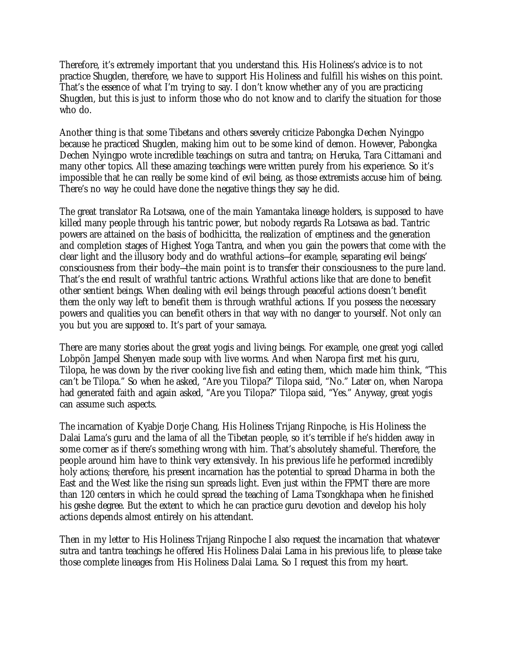Therefore, it's extremely important that you understand this. His Holiness's advice is to not practice Shugden, therefore, we have to support His Holiness and fulfill his wishes on this point. That's the essence of what I'm trying to say. I don't know whether any of you are practicing Shugden, but this is just to inform those who do not know and to clarify the situation for those who do.

Another thing is that some Tibetans and others severely criticize Pabongka Dechen Nyingpo because he practiced Shugden, making him out to be some kind of demon. However, Pabongka Dechen Nyingpo wrote incredible teachings on sutra and tantra; on Heruka, Tara Cittamani and many other topics. All these amazing teachings were written purely from his experience. So it's impossible that he can really be some kind of evil being, as those extremists accuse him of being. There's no way he could have done the negative things they say he did.

The great translator Ra Lotsawa, one of the main Yamantaka lineage holders, is supposed to have killed many people through his tantric power, but nobody regards Ra Lotsawa as bad. Tantric powers are attained on the basis of bodhicitta, the realization of emptiness and the generation and completion stages of Highest Yoga Tantra, and when you gain the powers that come with the clear light and the illusory body and do wrathful actions—for example, separating evil beings' consciousness from their body—the main point is to transfer their consciousness to the pure land. That's the end result of wrathful tantric actions. Wrathful actions like that are done to benefit other sentient beings. When dealing with evil beings through peaceful actions doesn't benefit them the only way left to benefit them is through wrathful actions. If you possess the necessary powers and qualities you can benefit others in that way with no danger to yourself. Not only *can* you but you are *supposed* to. It's part of your samaya.

There are many stories about the great yogis and living beings. For example, one great yogi called Lobpön Jampel Shenyen made soup with live worms. And when Naropa first met his guru, Tilopa, he was down by the river cooking live fish and eating them, which made him think, "This can't be Tilopa." So when he asked, "Are you Tilopa?" Tilopa said, "No." Later on, when Naropa had generated faith and again asked, "Are you Tilopa?" Tilopa said, "Yes." Anyway, great yogis can assume such aspects.

The incarnation of Kyabje Dorje Chang, His Holiness Trijang Rinpoche, is His Holiness the Dalai Lama's guru and the lama of all the Tibetan people, so it's terrible if he's hidden away in some corner as if there's something wrong with him. That's absolutely shameful. Therefore, the people around him have to think very extensively. In his previous life he performed incredibly holy actions; therefore, his present incarnation has the potential to spread Dharma in both the East and the West like the rising sun spreads light. Even just within the FPMT there are more than 120 centers in which he could spread the teaching of Lama Tsongkhapa when he finished his geshe degree. But the extent to which he can practice guru devotion and develop his holy actions depends almost entirely on his attendant.

Then in my letter to His Holiness Trijang Rinpoche I also request the incarnation that whatever sutra and tantra teachings he offered His Holiness Dalai Lama in his previous life, to please take those complete lineages from His Holiness Dalai Lama. So I request this from my heart.